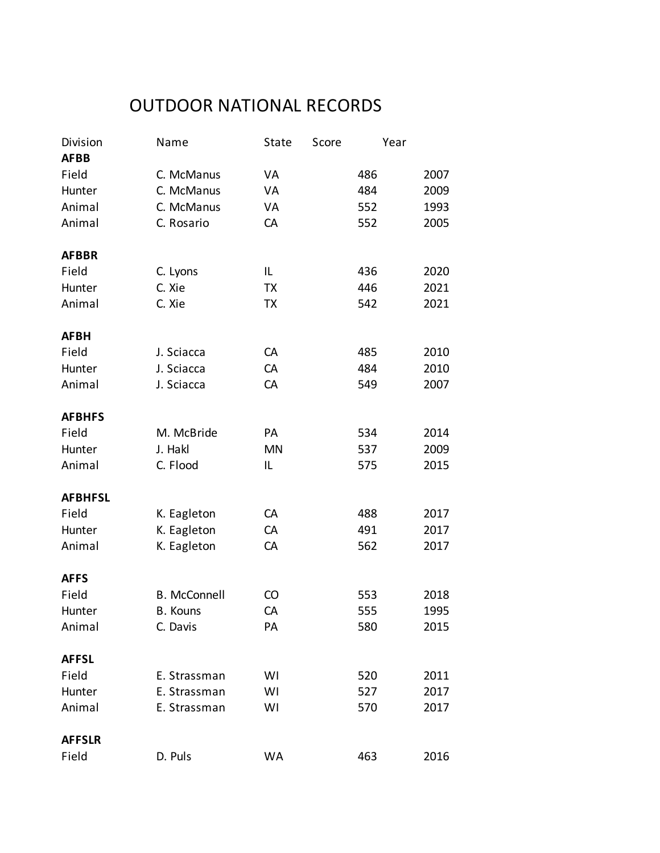## OUTDOOR NATIONAL RECORDS

| Division<br><b>AFBB</b> | Name                | State     | Score | Year |      |
|-------------------------|---------------------|-----------|-------|------|------|
| Field                   | C. McManus          | VA        |       | 486  | 2007 |
| Hunter                  | C. McManus          | VA        |       | 484  | 2009 |
| Animal                  | C. McManus          | VA        |       | 552  | 1993 |
| Animal                  | C. Rosario          | CA        |       | 552  | 2005 |
| <b>AFBBR</b>            |                     |           |       |      |      |
| Field                   | C. Lyons            | IL        |       | 436  | 2020 |
| Hunter                  | C. Xie              | TX        |       | 446  | 2021 |
| Animal                  | C. Xie              | TX        |       | 542  | 2021 |
|                         |                     |           |       |      |      |
| <b>AFBH</b>             |                     |           |       |      |      |
| Field                   | J. Sciacca          | CA        |       | 485  | 2010 |
| Hunter                  | J. Sciacca          | CA        |       | 484  | 2010 |
| Animal                  | J. Sciacca          | CA        |       | 549  | 2007 |
| <b>AFBHFS</b>           |                     |           |       |      |      |
| Field                   | M. McBride          | PA        |       | 534  | 2014 |
| Hunter                  | J. Hakl             | <b>MN</b> |       | 537  | 2009 |
| Animal                  | C. Flood            | IL        |       | 575  | 2015 |
| <b>AFBHFSL</b>          |                     |           |       |      |      |
| Field                   | K. Eagleton         | CA        |       | 488  | 2017 |
| Hunter                  | K. Eagleton         | CA        |       | 491  | 2017 |
| Animal                  | K. Eagleton         | CA        |       | 562  | 2017 |
| <b>AFFS</b>             |                     |           |       |      |      |
| Field                   | <b>B.</b> McConnell | CO        |       | 553  | 2018 |
| Hunter                  | <b>B.</b> Kouns     | CA        |       | 555  | 1995 |
| Animal                  | C. Davis            | PA        |       | 580  | 2015 |
| <b>AFFSL</b>            |                     |           |       |      |      |
| Field                   | E. Strassman        | WI        |       | 520  | 2011 |
| Hunter                  | E. Strassman        | WI        |       | 527  | 2017 |
| Animal                  | E. Strassman        | WI        |       | 570  | 2017 |
| <b>AFFSLR</b>           |                     |           |       |      |      |
| Field                   | D. Puls             | <b>WA</b> |       | 463  | 2016 |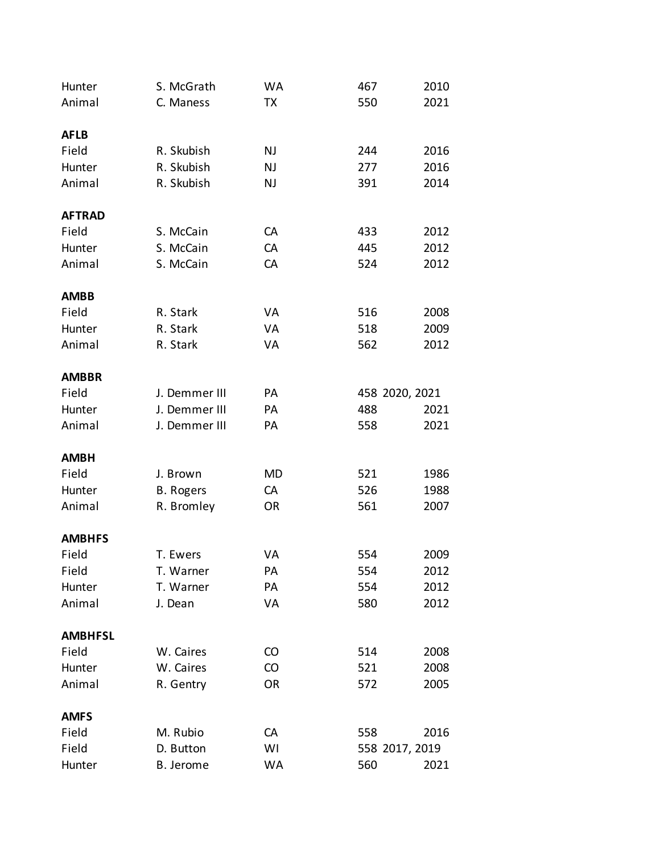| Hunter         | S. McGrath       | WA        | 467            | 2010 |
|----------------|------------------|-----------|----------------|------|
| Animal         | C. Maness        | <b>TX</b> | 550            | 2021 |
|                |                  |           |                |      |
| <b>AFLB</b>    |                  |           |                |      |
| Field          | R. Skubish       | NJ        | 244            | 2016 |
| Hunter         | R. Skubish       | NJ        | 277            | 2016 |
| Animal         | R. Skubish       | NJ        | 391            | 2014 |
| <b>AFTRAD</b>  |                  |           |                |      |
| Field          | S. McCain        | CA        | 433            | 2012 |
| Hunter         | S. McCain        | CA        | 445            | 2012 |
| Animal         | S. McCain        | CA        | 524            | 2012 |
| <b>AMBB</b>    |                  |           |                |      |
| Field          | R. Stark         | VA        | 516            | 2008 |
| Hunter         | R. Stark         | VA        | 518            | 2009 |
| Animal         | R. Stark         | VA        | 562            | 2012 |
|                |                  |           |                |      |
| <b>AMBBR</b>   |                  |           |                |      |
| Field          | J. Demmer III    | PA        | 458 2020, 2021 |      |
| Hunter         | J. Demmer III    | PA        | 488            | 2021 |
| Animal         | J. Demmer III    | PA        | 558            | 2021 |
| <b>AMBH</b>    |                  |           |                |      |
| Field          | J. Brown         | <b>MD</b> | 521            | 1986 |
| Hunter         | <b>B.</b> Rogers | CA        | 526            | 1988 |
| Animal         | R. Bromley       | <b>OR</b> | 561            | 2007 |
| <b>AMBHFS</b>  |                  |           |                |      |
| Field          | T. Ewers         | VA        | 554            | 2009 |
| Field          | T. Warner        | PA        | 554            | 2012 |
| Hunter         | T. Warner        | PA        | 554            | 2012 |
| Animal         | J. Dean          | VA        | 580            | 2012 |
|                |                  |           |                |      |
| <b>AMBHFSL</b> |                  |           |                |      |
| Field          | W. Caires        | CO        | 514            | 2008 |
| Hunter         | W. Caires        | CO        | 521            | 2008 |
| Animal         | R. Gentry        | OR        | 572            | 2005 |
| <b>AMFS</b>    |                  |           |                |      |
| Field          | M. Rubio         | CA        | 558            | 2016 |
| Field          | D. Button        | WI        | 558 2017, 2019 |      |
| Hunter         | B. Jerome        | WA        | 560            | 2021 |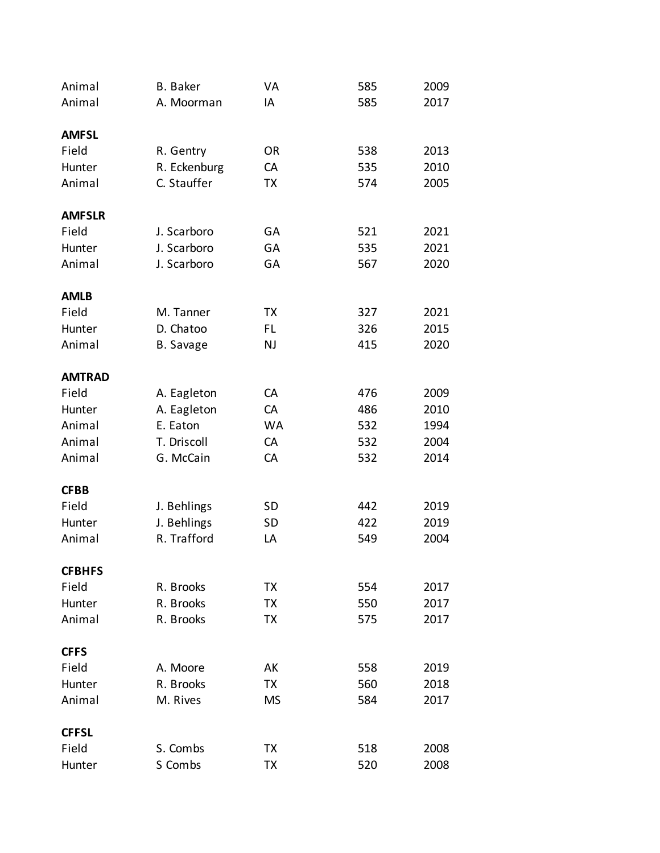| Animal        | <b>B.</b> Baker  | VA        | 585 | 2009 |
|---------------|------------------|-----------|-----|------|
| Animal        | A. Moorman       | IA        | 585 | 2017 |
|               |                  |           |     |      |
| <b>AMFSL</b>  |                  |           |     |      |
| Field         | R. Gentry        | <b>OR</b> | 538 | 2013 |
| Hunter        | R. Eckenburg     | CA        | 535 | 2010 |
| Animal        | C. Stauffer      | <b>TX</b> | 574 | 2005 |
| <b>AMFSLR</b> |                  |           |     |      |
| Field         | J. Scarboro      | GA        | 521 | 2021 |
| Hunter        | J. Scarboro      | GA        | 535 | 2021 |
| Animal        | J. Scarboro      | GA        | 567 | 2020 |
|               |                  |           |     |      |
| <b>AMLB</b>   |                  |           |     |      |
| Field         | M. Tanner        | TX        | 327 | 2021 |
| Hunter        | D. Chatoo        | FL        | 326 | 2015 |
| Animal        | <b>B.</b> Savage | NJ        | 415 | 2020 |
| <b>AMTRAD</b> |                  |           |     |      |
| Field         | A. Eagleton      | CA        | 476 | 2009 |
| Hunter        | A. Eagleton      | CA        | 486 | 2010 |
| Animal        | E. Eaton         | <b>WA</b> | 532 | 1994 |
| Animal        | T. Driscoll      | CA        | 532 | 2004 |
| Animal        | G. McCain        | CA        | 532 | 2014 |
|               |                  |           |     |      |
| <b>CFBB</b>   |                  |           |     |      |
| Field         | J. Behlings      | <b>SD</b> | 442 | 2019 |
| Hunter        | J. Behlings      | SD        | 422 | 2019 |
| Animal        | R. Trafford      | LA        | 549 | 2004 |
| <b>CFBHFS</b> |                  |           |     |      |
| Field         | R. Brooks        | TX        | 554 | 2017 |
| Hunter        | R. Brooks        | TX        | 550 | 2017 |
| Animal        | R. Brooks        | TX        | 575 | 2017 |
| <b>CFFS</b>   |                  |           |     |      |
| Field         | A. Moore         | AK        | 558 | 2019 |
| Hunter        | R. Brooks        | TX        | 560 | 2018 |
| Animal        | M. Rives         | <b>MS</b> | 584 | 2017 |
| <b>CFFSL</b>  |                  |           |     |      |
| Field         | S. Combs         | ТX        | 518 | 2008 |
| Hunter        | S Combs          | TX        | 520 | 2008 |
|               |                  |           |     |      |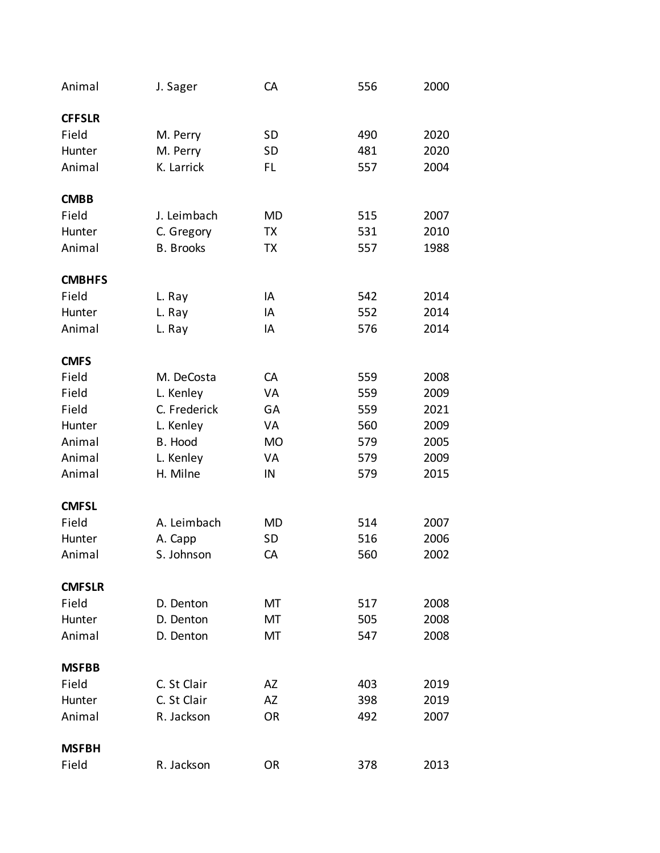| Animal        | J. Sager         | CA        | 556 | 2000 |
|---------------|------------------|-----------|-----|------|
| <b>CFFSLR</b> |                  |           |     |      |
| Field         | M. Perry         | <b>SD</b> | 490 | 2020 |
| Hunter        | M. Perry         | <b>SD</b> | 481 | 2020 |
| Animal        | K. Larrick       | FL        | 557 | 2004 |
| <b>CMBB</b>   |                  |           |     |      |
| Field         | J. Leimbach      | MD        | 515 | 2007 |
| Hunter        | C. Gregory       | TX        | 531 | 2010 |
| Animal        | <b>B.</b> Brooks | TX        | 557 | 1988 |
| <b>CMBHFS</b> |                  |           |     |      |
| Field         | L. Ray           | IA        | 542 | 2014 |
| Hunter        | L. Ray           | IA        | 552 | 2014 |
| Animal        | L. Ray           | IA        | 576 | 2014 |
| <b>CMFS</b>   |                  |           |     |      |
| Field         | M. DeCosta       | CA        | 559 | 2008 |
| Field         | L. Kenley        | VA        | 559 | 2009 |
| Field         | C. Frederick     | GA        | 559 | 2021 |
| Hunter        | L. Kenley        | VA        | 560 | 2009 |
| Animal        | B. Hood          | <b>MO</b> | 579 | 2005 |
| Animal        | L. Kenley        | VA        | 579 | 2009 |
| Animal        | H. Milne         | IN        | 579 | 2015 |
| <b>CMFSL</b>  |                  |           |     |      |
| Field         | A. Leimbach      | MD        | 514 | 2007 |
| Hunter        | A. Capp          | <b>SD</b> | 516 | 2006 |
| Animal        | S. Johnson       | CA        | 560 | 2002 |
| <b>CMFSLR</b> |                  |           |     |      |
| Field         | D. Denton        | MT        | 517 | 2008 |
| Hunter        | D. Denton        | MT        | 505 | 2008 |
| Animal        | D. Denton        | MT        | 547 | 2008 |
| <b>MSFBB</b>  |                  |           |     |      |
| Field         | C. St Clair      | AZ        | 403 | 2019 |
| Hunter        | C. St Clair      | AZ        | 398 | 2019 |
| Animal        | R. Jackson       | <b>OR</b> | 492 | 2007 |
| <b>MSFBH</b>  |                  |           |     |      |
| Field         | R. Jackson       | <b>OR</b> | 378 | 2013 |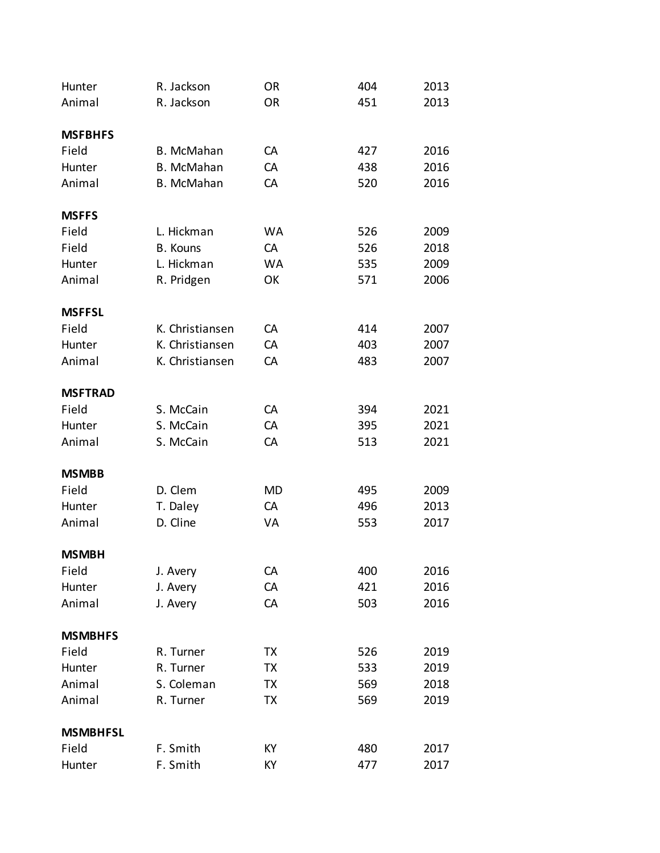| Hunter          | R. Jackson        | <b>OR</b> | 404 | 2013 |
|-----------------|-------------------|-----------|-----|------|
| Animal          | R. Jackson        | <b>OR</b> | 451 | 2013 |
|                 |                   |           |     |      |
| <b>MSFBHFS</b>  |                   |           |     |      |
| Field           | B. McMahan        | CA        | 427 | 2016 |
| Hunter          | B. McMahan        | CA        | 438 | 2016 |
| Animal          | <b>B.</b> McMahan | CA        | 520 | 2016 |
| <b>MSFFS</b>    |                   |           |     |      |
| Field           | L. Hickman        | <b>WA</b> | 526 | 2009 |
| Field           | <b>B.</b> Kouns   | CA        | 526 | 2018 |
| Hunter          | L. Hickman        | <b>WA</b> | 535 | 2009 |
| Animal          | R. Pridgen        | OK        | 571 | 2006 |
| <b>MSFFSL</b>   |                   |           |     |      |
| Field           | K. Christiansen   | CA        | 414 | 2007 |
| Hunter          | K. Christiansen   | CA        | 403 | 2007 |
| Animal          | K. Christiansen   | CA        | 483 | 2007 |
| <b>MSFTRAD</b>  |                   |           |     |      |
| Field           | S. McCain         | CA        | 394 | 2021 |
| Hunter          | S. McCain         | CA        | 395 | 2021 |
| Animal          | S. McCain         | CA        | 513 | 2021 |
| <b>MSMBB</b>    |                   |           |     |      |
| Field           | D. Clem           | MD        | 495 | 2009 |
| Hunter          | T. Daley          | CA        | 496 | 2013 |
| Animal          | D. Cline          | VA        | 553 | 2017 |
| <b>MSMBH</b>    |                   |           |     |      |
| Field           | J. Avery          | CA        | 400 | 2016 |
| Hunter          | J. Avery          | CA        | 421 | 2016 |
| Animal          | J. Avery          | CA        | 503 | 2016 |
| <b>MSMBHFS</b>  |                   |           |     |      |
| Field           | R. Turner         | TX        | 526 | 2019 |
| Hunter          | R. Turner         | TX        | 533 | 2019 |
| Animal          | S. Coleman        | ТX        | 569 | 2018 |
| Animal          | R. Turner         | TX        | 569 | 2019 |
| <b>MSMBHFSL</b> |                   |           |     |      |
| Field           | F. Smith          | KY        | 480 | 2017 |
| Hunter          | F. Smith          | КY        | 477 | 2017 |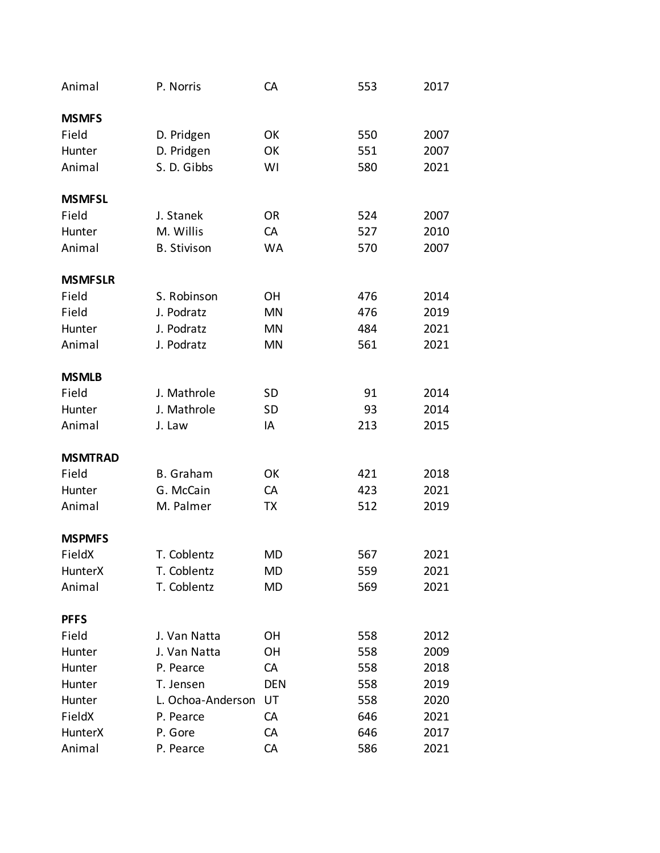| Animal         | P. Norris          | CA         | 553 | 2017 |
|----------------|--------------------|------------|-----|------|
| <b>MSMFS</b>   |                    |            |     |      |
| Field          | D. Pridgen         | OK         | 550 | 2007 |
| Hunter         | D. Pridgen         | OK         | 551 | 2007 |
| Animal         | S. D. Gibbs        | WI         | 580 | 2021 |
| <b>MSMFSL</b>  |                    |            |     |      |
| Field          | J. Stanek          | <b>OR</b>  | 524 | 2007 |
| Hunter         | M. Willis          | CA         | 527 | 2010 |
| Animal         | <b>B.</b> Stivison | <b>WA</b>  | 570 | 2007 |
| <b>MSMFSLR</b> |                    |            |     |      |
| Field          | S. Robinson        | <b>OH</b>  | 476 | 2014 |
| Field          | J. Podratz         | <b>MN</b>  | 476 | 2019 |
| Hunter         | J. Podratz         | MN         | 484 | 2021 |
| Animal         | J. Podratz         | <b>MN</b>  | 561 | 2021 |
| <b>MSMLB</b>   |                    |            |     |      |
| Field          | J. Mathrole        | <b>SD</b>  | 91  | 2014 |
| Hunter         | J. Mathrole        | <b>SD</b>  | 93  | 2014 |
| Animal         | J. Law             | IA         | 213 | 2015 |
| <b>MSMTRAD</b> |                    |            |     |      |
| Field          | <b>B.</b> Graham   | OK         | 421 | 2018 |
| Hunter         | G. McCain          | CA         | 423 | 2021 |
| Animal         | M. Palmer          | TX         | 512 | 2019 |
| <b>MSPMFS</b>  |                    |            |     |      |
| FieldX         | T. Coblentz        | <b>MD</b>  | 567 | 2021 |
| HunterX        | T. Coblentz        | MD         | 559 | 2021 |
| Animal         | T. Coblentz        | MD         | 569 | 2021 |
| <b>PFFS</b>    |                    |            |     |      |
| Field          | J. Van Natta       | <b>OH</b>  | 558 | 2012 |
| Hunter         | J. Van Natta       | <b>OH</b>  | 558 | 2009 |
| Hunter         | P. Pearce          | CA         | 558 | 2018 |
| Hunter         | T. Jensen          | <b>DEN</b> | 558 | 2019 |
| Hunter         | L. Ochoa-Anderson  | UT         | 558 | 2020 |
| FieldX         | P. Pearce          | CA         | 646 | 2021 |
| HunterX        | P. Gore            | CA         | 646 | 2017 |
| Animal         | P. Pearce          | CA         | 586 | 2021 |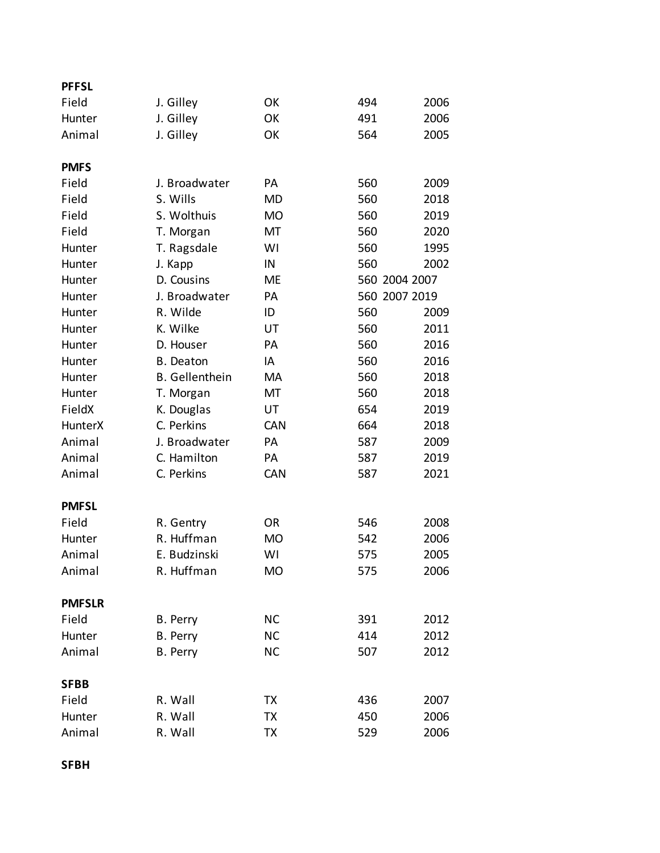| <b>PFFSL</b>   |                       |            |               |      |
|----------------|-----------------------|------------|---------------|------|
| Field          | J. Gilley             | OK         | 494           | 2006 |
| Hunter         | J. Gilley             | OK         | 491           | 2006 |
| Animal         | J. Gilley             | OK         | 564           | 2005 |
| <b>PMFS</b>    |                       |            |               |      |
| Field          | J. Broadwater         | <b>PA</b>  | 560           | 2009 |
| Field          | S. Wills              | MD         | 560           | 2018 |
| Field          | S. Wolthuis           | <b>MO</b>  | 560           | 2019 |
| Field          | T. Morgan             | MT         | 560           | 2020 |
| Hunter         | T. Ragsdale           | WI         | 560           | 1995 |
| Hunter         | J. Kapp               | IN         | 560           | 2002 |
| Hunter         | D. Cousins            | <b>ME</b>  | 560 2004 2007 |      |
| Hunter         | J. Broadwater         | PA         | 560 2007 2019 |      |
| Hunter         | R. Wilde              | ID         | 560           | 2009 |
| Hunter         | K. Wilke              | UT         | 560           | 2011 |
| Hunter         | D. Houser             | PA         | 560           | 2016 |
| Hunter         | <b>B.</b> Deaton      | IA         | 560           | 2016 |
| Hunter         | <b>B.</b> Gellenthein | MA         | 560           | 2018 |
| Hunter         | T. Morgan             | MT         | 560           | 2018 |
| FieldX         | K. Douglas            | UT         | 654           | 2019 |
| <b>HunterX</b> | C. Perkins            | <b>CAN</b> | 664           | 2018 |
| Animal         | J. Broadwater         | PA         | 587           | 2009 |
| Animal         | C. Hamilton           | PA         | 587           | 2019 |
| Animal         | C. Perkins            | <b>CAN</b> | 587           | 2021 |
| <b>PMFSL</b>   |                       |            |               |      |
| Field          | R. Gentry             | <b>OR</b>  | 546           | 2008 |
| Hunter         | R. Huffman            | <b>MO</b>  | 542           | 2006 |
| Animal         | E. Budzinski          | WI         | 575           | 2005 |
| Animal         | R. Huffman            | <b>MO</b>  | 575           | 2006 |
| <b>PMFSLR</b>  |                       |            |               |      |
| Field          | B. Perry              | <b>NC</b>  | 391           | 2012 |
| Hunter         | B. Perry              | <b>NC</b>  | 414           | 2012 |
| Animal         | B. Perry              | <b>NC</b>  | 507           | 2012 |
| <b>SFBB</b>    |                       |            |               |      |
| Field          | R. Wall               | TX         | 436           | 2007 |
| Hunter         | R. Wall               | TX         | 450           | 2006 |
| Animal         | R. Wall               | ТX         | 529           | 2006 |

**SFBH**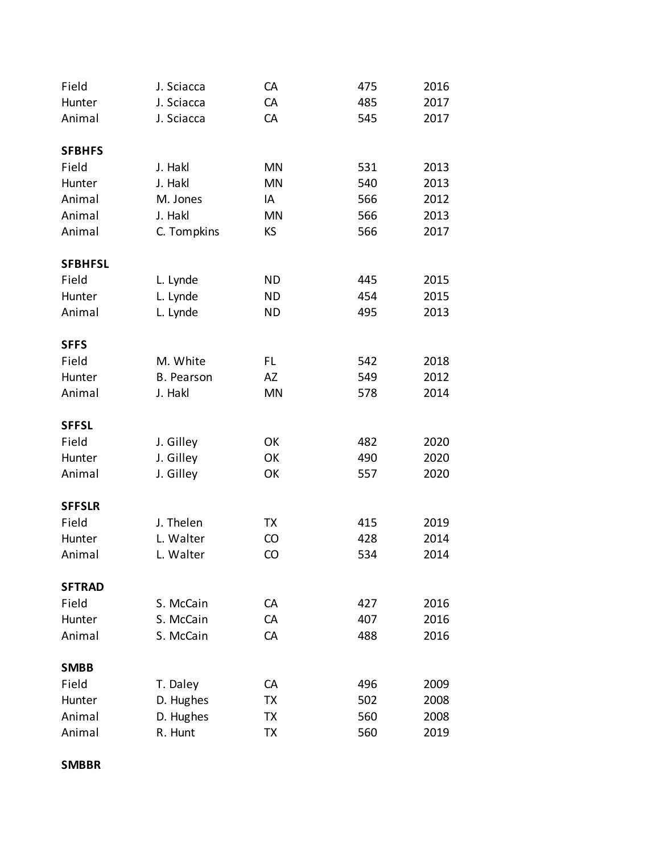| Field          | J. Sciacca        | CA        | 475 | 2016 |
|----------------|-------------------|-----------|-----|------|
| Hunter         | J. Sciacca        | CA        | 485 | 2017 |
| Animal         | J. Sciacca        | CA        | 545 | 2017 |
|                |                   |           |     |      |
| <b>SFBHFS</b>  |                   |           |     |      |
| Field          | J. Hakl           | <b>MN</b> | 531 | 2013 |
| Hunter         | J. Hakl           | <b>MN</b> | 540 | 2013 |
| Animal         | M. Jones          | IA        | 566 | 2012 |
| Animal         | J. Hakl           | <b>MN</b> | 566 | 2013 |
| Animal         | C. Tompkins       | KS        | 566 | 2017 |
| <b>SFBHFSL</b> |                   |           |     |      |
| Field          | L. Lynde          | <b>ND</b> | 445 | 2015 |
| Hunter         | L. Lynde          | <b>ND</b> | 454 | 2015 |
| Animal         | L. Lynde          | <b>ND</b> | 495 | 2013 |
|                |                   |           |     |      |
| <b>SFFS</b>    |                   |           |     |      |
| Field          | M. White          | FL        | 542 | 2018 |
| Hunter         | <b>B.</b> Pearson | AZ        | 549 | 2012 |
| Animal         | J. Hakl           | <b>MN</b> | 578 | 2014 |
|                |                   |           |     |      |
| <b>SFFSL</b>   |                   |           |     |      |
| Field          | J. Gilley         | OK        | 482 | 2020 |
| Hunter         | J. Gilley         | OK        | 490 | 2020 |
| Animal         | J. Gilley         | OK        | 557 | 2020 |
| <b>SFFSLR</b>  |                   |           |     |      |
| Field          | J. Thelen         | TX        | 415 | 2019 |
| Hunter         | L. Walter         | CO        | 428 | 2014 |
| Animal         | L. Walter         | CO        | 534 | 2014 |
| <b>SFTRAD</b>  |                   |           |     |      |
| Field          | S. McCain         | CA        | 427 | 2016 |
| Hunter         | S. McCain         | CA        | 407 | 2016 |
| Animal         | S. McCain         | CA        | 488 | 2016 |
|                |                   |           |     |      |
| <b>SMBB</b>    |                   |           |     |      |
| Field          | T. Daley          | CA        | 496 | 2009 |
| Hunter         | D. Hughes         | TX        | 502 | 2008 |
| Animal         | D. Hughes         | TX        | 560 | 2008 |
| Animal         | R. Hunt           | TX        | 560 | 2019 |

**SMBBR**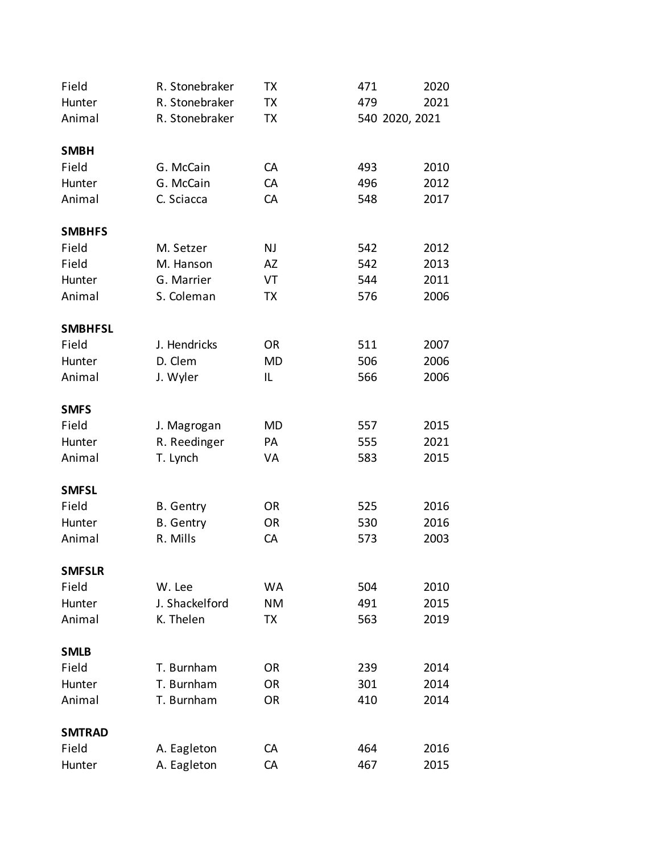| Field          | R. Stonebraker              | ТX        | 471            | 2020 |
|----------------|-----------------------------|-----------|----------------|------|
| Hunter         | R. Stonebraker              | TX        | 479            | 2021 |
| Animal         | R. Stonebraker              | TХ        | 540 2020, 2021 |      |
|                |                             |           |                |      |
| <b>SMBH</b>    |                             |           |                |      |
| Field          | G. McCain                   | CA        | 493            | 2010 |
| Hunter         | G. McCain                   | CA        | 496            | 2012 |
| Animal         | C. Sciacca                  | CA        | 548            | 2017 |
| <b>SMBHFS</b>  |                             |           |                |      |
| Field          | M. Setzer                   | NJ        | 542            | 2012 |
| Field          | M. Hanson                   | AZ        | 542            | 2013 |
| Hunter         | G. Marrier                  | VT        | 544            | 2011 |
| Animal         | S. Coleman                  | TX        | 576            | 2006 |
|                |                             |           |                |      |
| <b>SMBHFSL</b> |                             |           |                |      |
| Field          | J. Hendricks                | <b>OR</b> | 511            | 2007 |
| Hunter         | D. Clem                     | <b>MD</b> | 506            | 2006 |
| Animal         | J. Wyler                    | IL        | 566            | 2006 |
| <b>SMFS</b>    |                             |           |                |      |
| Field          |                             | MD        | 557            | 2015 |
| Hunter         | J. Magrogan<br>R. Reedinger | PA        | 555            | 2021 |
| Animal         |                             | VA        | 583            | 2015 |
|                | T. Lynch                    |           |                |      |
| <b>SMFSL</b>   |                             |           |                |      |
| Field          | <b>B.</b> Gentry            | <b>OR</b> | 525            | 2016 |
| Hunter         | <b>B.</b> Gentry            | <b>OR</b> | 530            | 2016 |
| Animal         | R. Mills                    | CA        | 573            | 2003 |
| <b>SMFSLR</b>  |                             |           |                |      |
| Field          | W. Lee                      | WA        | 504            | 2010 |
| Hunter         | J. Shackelford              | NΜ        | 491            | 2015 |
| Animal         | K. Thelen                   | TX        | 563            | 2019 |
|                |                             |           |                |      |
| <b>SMLB</b>    |                             |           |                |      |
| Field          | T. Burnham                  | OR        | 239            | 2014 |
| Hunter         | T. Burnham                  | <b>OR</b> | 301            | 2014 |
| Animal         | T. Burnham                  | <b>OR</b> | 410            | 2014 |
| <b>SMTRAD</b>  |                             |           |                |      |
| Field          | A. Eagleton                 | СA        | 464            | 2016 |
| Hunter         | A. Eagleton                 | CA        | 467            | 2015 |
|                |                             |           |                |      |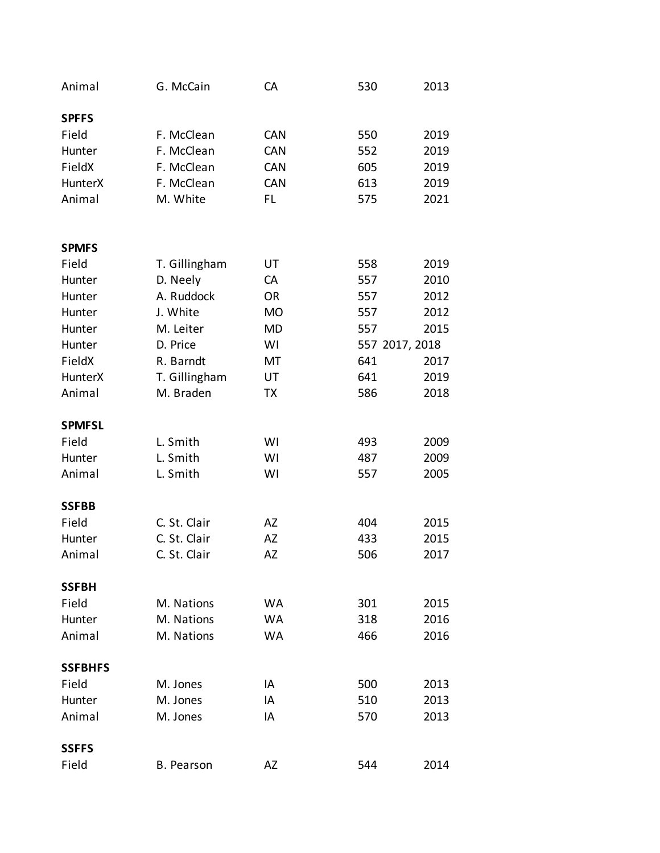| Animal         | G. McCain         | CA         | 530            | 2013 |
|----------------|-------------------|------------|----------------|------|
| <b>SPFFS</b>   |                   |            |                |      |
| Field          | F. McClean        | <b>CAN</b> | 550            | 2019 |
| Hunter         | F. McClean        | CAN        | 552            | 2019 |
| FieldX         | F. McClean        | <b>CAN</b> | 605            | 2019 |
| <b>HunterX</b> | F. McClean        | CAN        | 613            | 2019 |
| Animal         | M. White          | FL         | 575            | 2021 |
|                |                   |            |                |      |
| <b>SPMFS</b>   |                   |            |                |      |
| Field          | T. Gillingham     | UT         | 558            | 2019 |
| Hunter         | D. Neely          | CA         | 557            | 2010 |
| Hunter         | A. Ruddock        | <b>OR</b>  | 557            | 2012 |
| Hunter         | J. White          | <b>MO</b>  | 557            | 2012 |
| Hunter         | M. Leiter         | <b>MD</b>  | 557            | 2015 |
| Hunter         | D. Price          | WI         | 557 2017, 2018 |      |
| FieldX         | R. Barndt         | MT         | 641            | 2017 |
| <b>HunterX</b> | T. Gillingham     | UT         | 641            | 2019 |
| Animal         | M. Braden         | TX         | 586            | 2018 |
| <b>SPMFSL</b>  |                   |            |                |      |
| Field          | L. Smith          | WI         | 493            | 2009 |
| Hunter         | L. Smith          | WI         | 487            | 2009 |
| Animal         | L. Smith          | WI         | 557            | 2005 |
| <b>SSFBB</b>   |                   |            |                |      |
| Field          | C. St. Clair      | AZ         | 404            | 2015 |
| Hunter         | C. St. Clair      | <b>AZ</b>  | 433            | 2015 |
| Animal         | C. St. Clair      | AZ         | 506            | 2017 |
| <b>SSFBH</b>   |                   |            |                |      |
| Field          | M. Nations        | <b>WA</b>  | 301            | 2015 |
| Hunter         | M. Nations        | <b>WA</b>  | 318            | 2016 |
| Animal         | M. Nations        | <b>WA</b>  | 466            | 2016 |
| <b>SSFBHFS</b> |                   |            |                |      |
| Field          | M. Jones          | IA         | 500            | 2013 |
| Hunter         | M. Jones          | IA         | 510            | 2013 |
| Animal         | M. Jones          | IA         | 570            | 2013 |
| <b>SSFFS</b>   |                   |            |                |      |
| Field          | <b>B.</b> Pearson | AZ         | 544            | 2014 |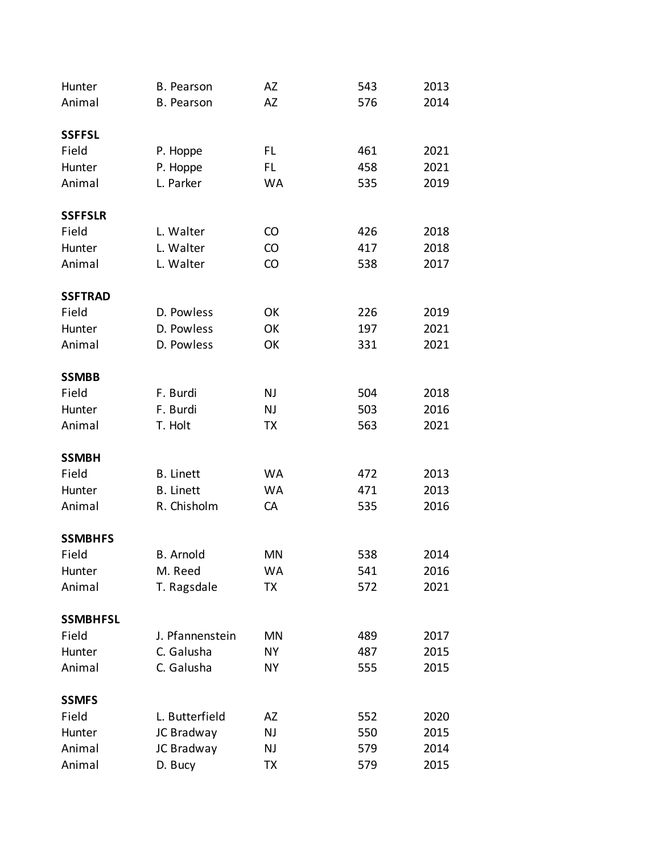| Hunter                  | <b>B.</b> Pearson | AZ        | 543 | 2013 |
|-------------------------|-------------------|-----------|-----|------|
| Animal                  | <b>B.</b> Pearson | AZ        | 576 | 2014 |
|                         |                   |           |     |      |
| <b>SSFFSL</b>           |                   |           |     |      |
| Field                   | P. Hoppe          | FL        | 461 | 2021 |
| Hunter                  | P. Hoppe          | FL.       | 458 | 2021 |
| Animal                  | L. Parker         | <b>WA</b> | 535 | 2019 |
|                         |                   |           |     |      |
| <b>SSFFSLR</b>          |                   |           |     |      |
| Field                   | L. Walter         | CO        | 426 | 2018 |
| Hunter                  | L. Walter         | CO        | 417 | 2018 |
| Animal                  | L. Walter         | CO        | 538 | 2017 |
|                         |                   |           |     |      |
| <b>SSFTRAD</b>          |                   |           |     |      |
| Field                   | D. Powless        | OK        | 226 | 2019 |
| Hunter                  | D. Powless        | OK        | 197 | 2021 |
| Animal                  | D. Powless        | OK        | 331 | 2021 |
|                         |                   |           |     |      |
| <b>SSMBB</b>            |                   |           |     |      |
| Field                   | F. Burdi          | NJ        | 504 | 2018 |
| Hunter                  | F. Burdi          | NJ        | 503 | 2016 |
| Animal                  | T. Holt           | <b>TX</b> | 563 | 2021 |
|                         |                   |           |     |      |
| <b>SSMBH</b>            |                   |           |     |      |
| Field                   | <b>B.</b> Linett  | <b>WA</b> | 472 | 2013 |
| Hunter                  | <b>B.</b> Linett  | <b>WA</b> | 471 | 2013 |
| Animal                  | R. Chisholm       | CA        | 535 | 2016 |
|                         |                   |           |     |      |
| <b>SSMBHFS</b><br>Field | <b>B.</b> Arnold  | <b>MN</b> | 538 | 2014 |
| Hunter                  | M. Reed           | WA        | 541 | 2016 |
| Animal                  | T. Ragsdale       | TX        | 572 | 2021 |
|                         |                   |           |     |      |
| <b>SSMBHFSL</b>         |                   |           |     |      |
| Field                   | J. Pfannenstein   | MN        | 489 | 2017 |
| Hunter                  | C. Galusha        | NΥ        | 487 | 2015 |
| Animal                  | C. Galusha        | NΥ        | 555 | 2015 |
|                         |                   |           |     |      |
| <b>SSMFS</b>            |                   |           |     |      |
| Field                   | L. Butterfield    | AZ        | 552 | 2020 |
| Hunter                  | JC Bradway        | NJ        | 550 | 2015 |
| Animal                  | JC Bradway        | NJ        | 579 | 2014 |
| Animal                  | D. Bucy           | <b>TX</b> | 579 | 2015 |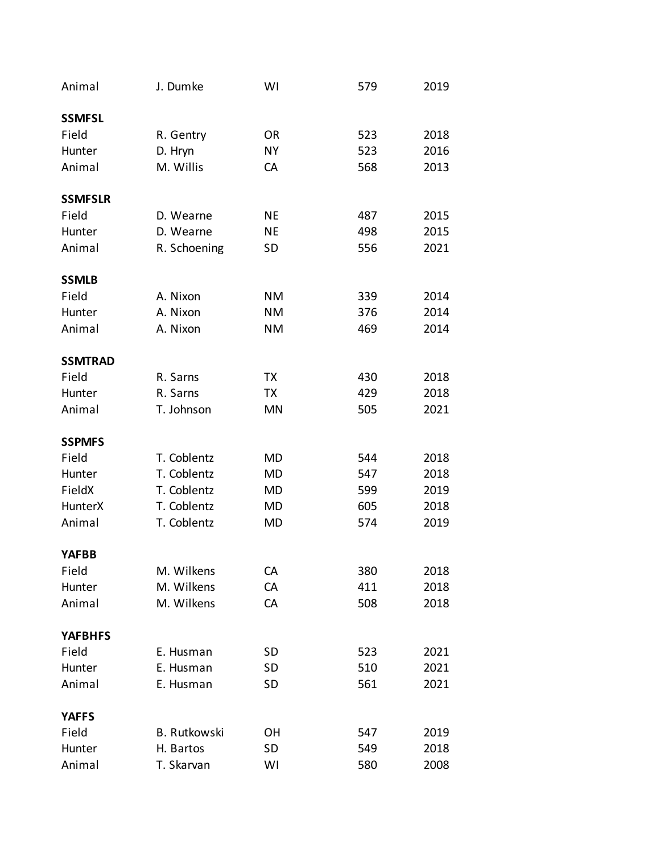| Animal         | J. Dumke            | WI        | 579 | 2019 |
|----------------|---------------------|-----------|-----|------|
| <b>SSMFSL</b>  |                     |           |     |      |
| Field          | R. Gentry           | <b>OR</b> | 523 | 2018 |
| Hunter         | D. Hryn             | <b>NY</b> | 523 | 2016 |
| Animal         | M. Willis           | CA        | 568 | 2013 |
| <b>SSMFSLR</b> |                     |           |     |      |
| Field          | D. Wearne           | NE        | 487 | 2015 |
| Hunter         | D. Wearne           | <b>NE</b> | 498 | 2015 |
| Animal         | R. Schoening        | <b>SD</b> | 556 | 2021 |
| <b>SSMLB</b>   |                     |           |     |      |
| Field          | A. Nixon            | <b>NM</b> | 339 | 2014 |
| Hunter         | A. Nixon            | <b>NM</b> | 376 | 2014 |
| Animal         | A. Nixon            | <b>NM</b> | 469 | 2014 |
| <b>SSMTRAD</b> |                     |           |     |      |
| Field          | R. Sarns            | TX        | 430 | 2018 |
| Hunter         | R. Sarns            | TX        | 429 | 2018 |
| Animal         | T. Johnson          | MN        | 505 | 2021 |
| <b>SSPMFS</b>  |                     |           |     |      |
| Field          | T. Coblentz         | MD        | 544 | 2018 |
| Hunter         | T. Coblentz         | MD        | 547 | 2018 |
| FieldX         | T. Coblentz         | MD        | 599 | 2019 |
| <b>HunterX</b> | T. Coblentz         | MD        | 605 | 2018 |
| Animal         | T. Coblentz         | MD        | 574 | 2019 |
| <b>YAFBB</b>   |                     |           |     |      |
| Field          | M. Wilkens          | CA        | 380 | 2018 |
| Hunter         | M. Wilkens          | CA        | 411 | 2018 |
| Animal         | M. Wilkens          | CA        | 508 | 2018 |
| <b>YAFBHFS</b> |                     |           |     |      |
| Field          | E. Husman           | <b>SD</b> | 523 | 2021 |
| Hunter         | E. Husman           | <b>SD</b> | 510 | 2021 |
| Animal         | E. Husman           | <b>SD</b> | 561 | 2021 |
| <b>YAFFS</b>   |                     |           |     |      |
| Field          | <b>B.</b> Rutkowski | <b>OH</b> | 547 | 2019 |
| Hunter         | H. Bartos           | <b>SD</b> | 549 | 2018 |
| Animal         | T. Skarvan          | WI        | 580 | 2008 |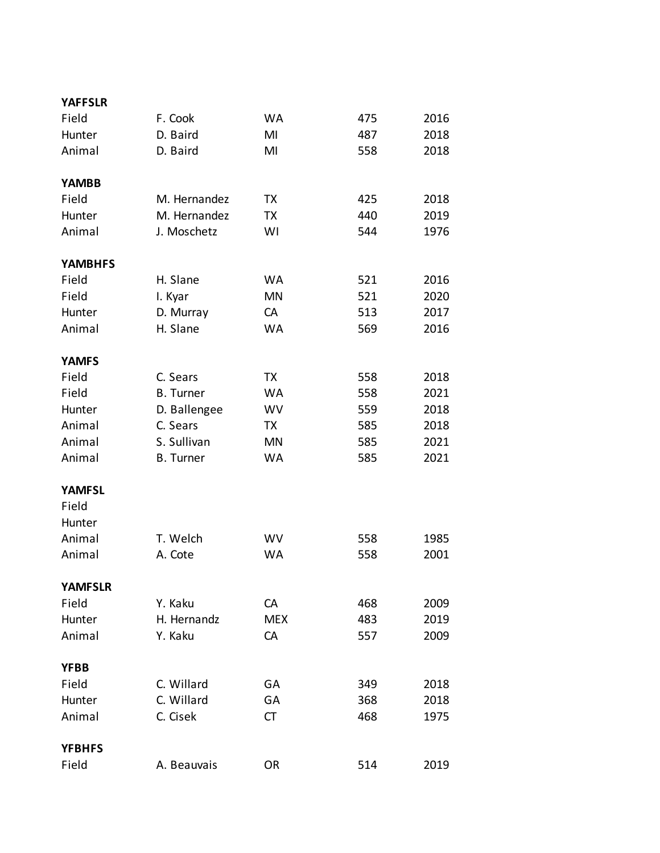| <b>YAFFSLR</b> |                  |            |     |      |
|----------------|------------------|------------|-----|------|
| Field          | F. Cook          | <b>WA</b>  | 475 | 2016 |
| Hunter         | D. Baird         | MI         | 487 | 2018 |
| Animal         | D. Baird         | MI         | 558 | 2018 |
|                |                  |            |     |      |
| <b>YAMBB</b>   |                  |            |     |      |
| Field          | M. Hernandez     | TХ         | 425 | 2018 |
| Hunter         | M. Hernandez     | TX         | 440 | 2019 |
| Animal         | J. Moschetz      | WI         | 544 | 1976 |
|                |                  |            |     |      |
| <b>YAMBHFS</b> |                  |            |     |      |
| Field          | H. Slane         | WA         | 521 | 2016 |
| Field          | I. Kyar          | <b>MN</b>  | 521 | 2020 |
| Hunter         | D. Murray        | CA         | 513 | 2017 |
| Animal         | H. Slane         | <b>WA</b>  | 569 | 2016 |
| <b>YAMFS</b>   |                  |            |     |      |
| Field          | C. Sears         | TX         | 558 | 2018 |
| Field          | <b>B.</b> Turner | <b>WA</b>  | 558 | 2021 |
| Hunter         | D. Ballengee     | <b>WV</b>  | 559 | 2018 |
| Animal         | C. Sears         | TX         | 585 | 2018 |
| Animal         | S. Sullivan      |            |     |      |
|                |                  | MN         | 585 | 2021 |
| Animal         | <b>B.</b> Turner | <b>WA</b>  | 585 | 2021 |
| <b>YAMFSL</b>  |                  |            |     |      |
| Field          |                  |            |     |      |
| Hunter         |                  |            |     |      |
| Animal         | T. Welch         | WV         | 558 | 1985 |
| Animal         | A. Cote          | <b>WA</b>  | 558 | 2001 |
|                |                  |            |     |      |
| <b>YAMFSLR</b> |                  |            |     |      |
| Field          | Y. Kaku          | CA         | 468 | 2009 |
| Hunter         | H. Hernandz      | <b>MEX</b> | 483 | 2019 |
| Animal         | Y. Kaku          | CA         | 557 | 2009 |
|                |                  |            |     |      |
| <b>YFBB</b>    |                  |            |     |      |
| Field          | C. Willard       | GA         | 349 | 2018 |
| Hunter         | C. Willard       | GA         | 368 | 2018 |
| Animal         | C. Cisek         | СT         | 468 | 1975 |
|                |                  |            |     |      |
| <b>YFBHFS</b>  |                  |            |     |      |
| Field          | A. Beauvais      | <b>OR</b>  | 514 | 2019 |